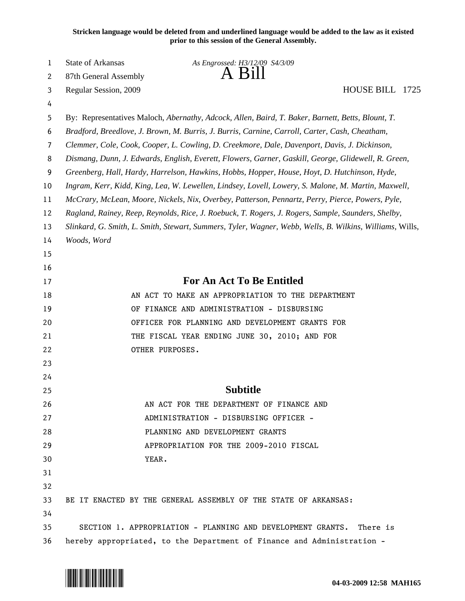**Stricken language would be deleted from and underlined language would be added to the law as it existed prior to this session of the General Assembly.**

| 1  | State of Arkansas                                                                                        | As Engrossed: H3/12/09 S4/3/09                                                                    |  |
|----|----------------------------------------------------------------------------------------------------------|---------------------------------------------------------------------------------------------------|--|
| 2  | 87th General Assembly                                                                                    | A Bill                                                                                            |  |
| 3  | Regular Session, 2009                                                                                    | HOUSE BILL 1725                                                                                   |  |
| 4  |                                                                                                          |                                                                                                   |  |
| 5  |                                                                                                          | By: Representatives Maloch, Abernathy, Adcock, Allen, Baird, T. Baker, Barnett, Betts, Blount, T. |  |
| 6  | Bradford, Breedlove, J. Brown, M. Burris, J. Burris, Carnine, Carroll, Carter, Cash, Cheatham,           |                                                                                                   |  |
| 7  |                                                                                                          | Clemmer, Cole, Cook, Cooper, L. Cowling, D. Creekmore, Dale, Davenport, Davis, J. Dickinson,      |  |
| 8  | Dismang, Dunn, J. Edwards, English, Everett, Flowers, Garner, Gaskill, George, Glidewell, R. Green,      |                                                                                                   |  |
| 9  | Greenberg, Hall, Hardy, Harrelson, Hawkins, Hobbs, Hopper, House, Hoyt, D. Hutchinson, Hyde,             |                                                                                                   |  |
| 10 | Ingram, Kerr, Kidd, King, Lea, W. Lewellen, Lindsey, Lovell, Lowery, S. Malone, M. Martin, Maxwell,      |                                                                                                   |  |
| 11 | McCrary, McLean, Moore, Nickels, Nix, Overbey, Patterson, Pennartz, Perry, Pierce, Powers, Pyle,         |                                                                                                   |  |
| 12 | Ragland, Rainey, Reep, Reynolds, Rice, J. Roebuck, T. Rogers, J. Rogers, Sample, Saunders, Shelby,       |                                                                                                   |  |
| 13 | Slinkard, G. Smith, L. Smith, Stewart, Summers, Tyler, Wagner, Webb, Wells, B. Wilkins, Williams, Wills, |                                                                                                   |  |
| 14 | Woods, Word                                                                                              |                                                                                                   |  |
| 15 |                                                                                                          |                                                                                                   |  |
| 16 |                                                                                                          |                                                                                                   |  |
| 17 |                                                                                                          | <b>For An Act To Be Entitled</b>                                                                  |  |
| 18 |                                                                                                          | AN ACT TO MAKE AN APPROPRIATION TO THE DEPARTMENT                                                 |  |
| 19 |                                                                                                          | OF FINANCE AND ADMINISTRATION - DISBURSING                                                        |  |
| 20 |                                                                                                          | OFFICER FOR PLANNING AND DEVELOPMENT GRANTS FOR                                                   |  |
| 21 |                                                                                                          | THE FISCAL YEAR ENDING JUNE 30, 2010; AND FOR                                                     |  |
| 22 | OTHER PURPOSES.                                                                                          |                                                                                                   |  |
| 23 |                                                                                                          |                                                                                                   |  |
| 24 |                                                                                                          |                                                                                                   |  |
| 25 |                                                                                                          | <b>Subtitle</b>                                                                                   |  |
| 26 |                                                                                                          | AN ACT FOR THE DEPARTMENT OF FINANCE AND                                                          |  |
| 27 |                                                                                                          | ADMINISTRATION - DISBURSING OFFICER -                                                             |  |
| 28 |                                                                                                          | PLANNING AND DEVELOPMENT GRANTS                                                                   |  |
| 29 |                                                                                                          | APPROPRIATION FOR THE 2009-2010 FISCAL                                                            |  |
| 30 | YEAR.                                                                                                    |                                                                                                   |  |
| 31 |                                                                                                          |                                                                                                   |  |
| 32 |                                                                                                          |                                                                                                   |  |
| 33 |                                                                                                          | BE IT ENACTED BY THE GENERAL ASSEMBLY OF THE STATE OF ARKANSAS:                                   |  |
| 34 |                                                                                                          |                                                                                                   |  |
| 35 |                                                                                                          | SECTION 1. APPROPRIATION - PLANNING AND DEVELOPMENT GRANTS.<br>There is                           |  |
| 36 | hereby appropriated, to the Department of Finance and Administration -                                   |                                                                                                   |  |

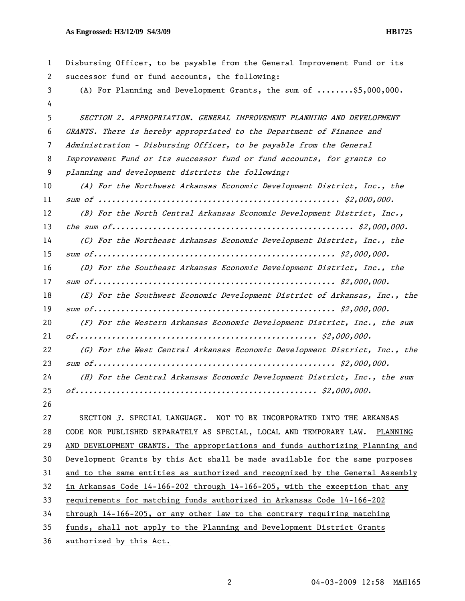| $\mathbf{1}$ | Disbursing Officer, to be payable from the General Improvement Fund or its         |
|--------------|------------------------------------------------------------------------------------|
| 2            | successor fund or fund accounts, the following:                                    |
| 3            | (A) For Planning and Development Grants, the sum of $\ldots \ldots$ , \$5,000,000. |
| 4            |                                                                                    |
| 5            | SECTION 2. APPROPRIATION. GENERAL IMPROVEMENT PLANNING AND DEVELOPMENT             |
| 6            | GRANTS. There is hereby appropriated to the Department of Finance and              |
| 7            | Administration - Disbursing Officer, to be payable from the General                |
| 8            | Improvement Fund or its successor fund or fund accounts, for grants to             |
| 9            | planning and development districts the following:                                  |
| 10           | (A) For the Northwest Arkansas Economic Development District, Inc., the            |
| 11           |                                                                                    |
| 12           | (B) For the North Central Arkansas Economic Development District, Inc.,            |
| 13           |                                                                                    |
| 14           | (C) For the Northeast Arkansas Economic Development District, Inc., the            |
| 15           |                                                                                    |
| 16           | (D) For the Southeast Arkansas Economic Development District, Inc., the            |
| 17           |                                                                                    |
| 18           | (E) For the Southwest Economic Development District of Arkansas, Inc., the         |
| 19           |                                                                                    |
| 20           | (F) For the Western Arkansas Economic Development District, Inc., the sum          |
| 21           |                                                                                    |
| 22           | (G) For the West Central Arkansas Economic Development District, Inc., the         |
| 23           |                                                                                    |
| 24           | (H) For the Central Arkansas Economic Development District, Inc., the sum          |
| 25           |                                                                                    |
| 26           |                                                                                    |
| 27           | SECTION 3. SPECIAL LANGUAGE. NOT TO BE INCORPORATED INTO THE ARKANSAS              |
| 28           | CODE NOR PUBLISHED SEPARATELY AS SPECIAL, LOCAL AND TEMPORARY LAW. PLANNING        |
| 29           | AND DEVELOPMENT GRANTS. The appropriations and funds authorizing Planning and      |
| 30           | Development Grants by this Act shall be made available for the same purposes       |
| 31           | and to the same entities as authorized and recognized by the General Assembly      |
| 32           | in Arkansas Code 14-166-202 through 14-166-205, with the exception that any        |
| 33           | requirements for matching funds authorized in Arkansas Code 14-166-202             |
| 34           | through 14-166-205, or any other law to the contrary requiring matching            |
| 35           | funds, shall not apply to the Planning and Development District Grants             |
| 36           | authorized by this Act.                                                            |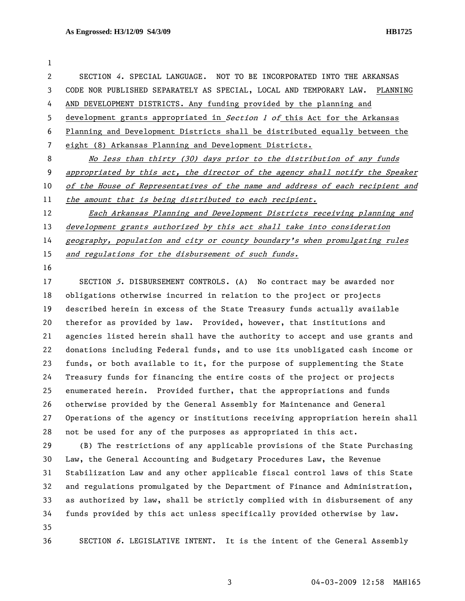1 2 SECTION 4. SPECIAL LANGUAGE. NOT TO BE INCORPORATED INTO THE ARKANSAS 3 CODE NOR PUBLISHED SEPARATELY AS SPECIAL, LOCAL AND TEMPORARY LAW. PLANNING 4 AND DEVELOPMENT DISTRICTS. Any funding provided by the planning and 5 development grants appropriated in Section 1 of this Act for the Arkansas 6 Planning and Development Districts shall be distributed equally between the 7 eight (8) Arkansas Planning and Development Districts. 8 No less than thirty (30) days prior to the distribution of any funds 9 appropriated by this act, the director of the agency shall notify the Speaker 10 of the House of Representatives of the name and address of each recipient and 11 the amount that is being distributed to each recipient. 12 Each Arkansas Planning and Development Districts receiving planning and 13 development grants authorized by this act shall take into consideration 14 geography, population and city or county boundary's when promulgating rules

15 and regulations for the disbursement of such funds.

16

17 SECTION 5. DISBURSEMENT CONTROLS. (A) No contract may be awarded nor 18 obligations otherwise incurred in relation to the project or projects 19 described herein in excess of the State Treasury funds actually available 20 therefor as provided by law. Provided, however, that institutions and 21 agencies listed herein shall have the authority to accept and use grants and 22 donations including Federal funds, and to use its unobligated cash income or 23 funds, or both available to it, for the purpose of supplementing the State 24 Treasury funds for financing the entire costs of the project or projects 25 enumerated herein. Provided further, that the appropriations and funds 26 otherwise provided by the General Assembly for Maintenance and General 27 Operations of the agency or institutions receiving appropriation herein shall 28 not be used for any of the purposes as appropriated in this act. 29 (B) The restrictions of any applicable provisions of the State Purchasing 30 Law, the General Accounting and Budgetary Procedures Law, the Revenue 31 Stabilization Law and any other applicable fiscal control laws of this State

32 and regulations promulgated by the Department of Finance and Administration, 33 as authorized by law, shall be strictly complied with in disbursement of any 34 funds provided by this act unless specifically provided otherwise by law. 35

36 SECTION 6. LEGISLATIVE INTENT. It is the intent of the General Assembly